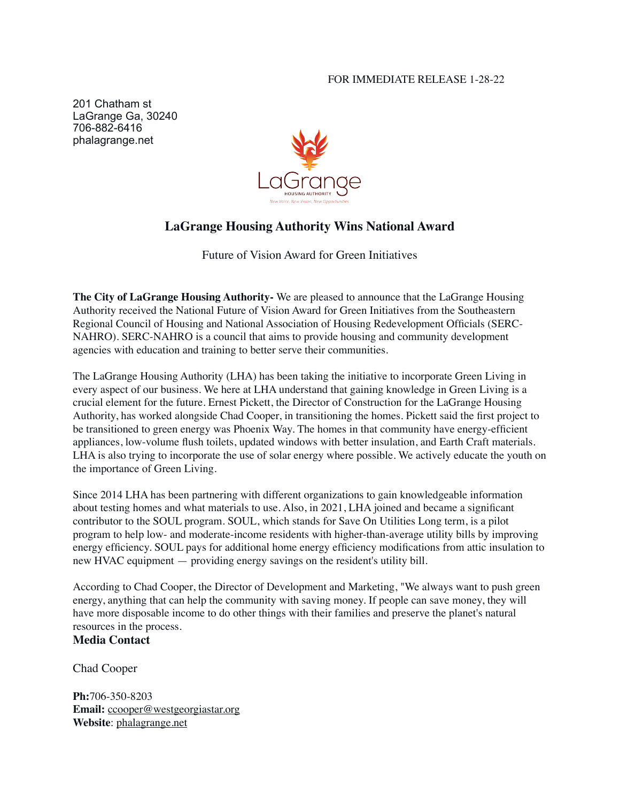## FOR IMMEDIATE RELEASE 1-28-22

201 Chatham st LaGrange Ga, 30240 706-882-6416 phalagrange.net



## **LaGrange Housing Authority Wins National Award**

Future of Vision Award for Green Initiatives

**The City of LaGrange Housing Authority-** We are pleased to announce that the LaGrange Housing Authority received the National Future of Vision Award for Green Initiatives from the Southeastern Regional Council of Housing and National Association of Housing Redevelopment Officials (SERC-NAHRO). SERC-NAHRO is a council that aims to provide housing and community development agencies with education and training to better serve their communities.

The LaGrange Housing Authority (LHA) has been taking the initiative to incorporate Green Living in every aspect of our business. We here at LHA understand that gaining knowledge in Green Living is a crucial element for the future. Ernest Pickett, the Director of Construction for the LaGrange Housing Authority, has worked alongside Chad Cooper, in transitioning the homes. Pickett said the first project to be transitioned to green energy was Phoenix Way. The homes in that community have energy-efficient appliances, low-volume flush toilets, updated windows with better insulation, and Earth Craft materials. LHA is also trying to incorporate the use of solar energy where possible. We actively educate the youth on the importance of Green Living.

Since 2014 LHA has been partnering with different organizations to gain knowledgeable information about testing homes and what materials to use. Also, in 2021, LHA joined and became a significant contributor to the SOUL program. SOUL, which stands for Save On Utilities Long term, is a pilot program to help low- and moderate-income residents with higher-than-average utility bills by improving energy efficiency. SOUL pays for additional home energy efficiency modifications from attic insulation to new HVAC equipment — providing energy savings on the resident's utility bill.

According to Chad Cooper, the Director of Development and Marketing, "We always want to push green energy, anything that can help the community with saving money. If people can save money, they will have more disposable income to do other things with their families and preserve the planet's natural resources in the process.

## **Media Contact**

Chad Cooper

**Ph:**706-350-8203 **Email:** [ccooper@westgeorgiastar.org](mailto:ccooper@westgeorgiastar.org) **Website**: [phalagrange.net](http://phalagrange.net)